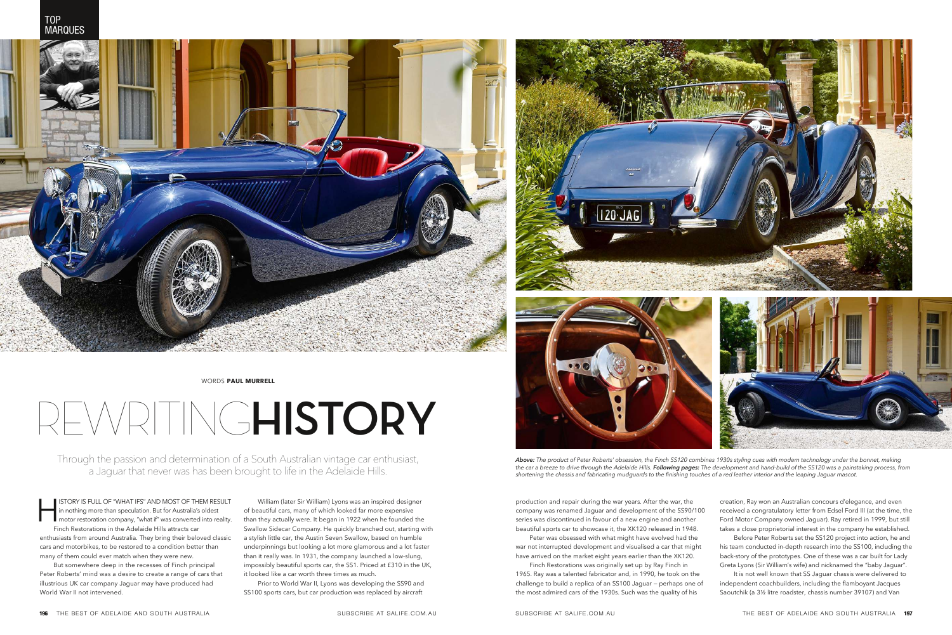## REWRITING**HISTORY**

ISTORY IS FULL OF "WHAT IFS" AND MOST OF THEM RESULT<br>in nothing more than speculation. But for Australia's oldest<br>motor restoration company, "what if" was converted into reality.<br>Finch Restorations in the Adelaide Hills at in nothing more than speculation. But for Australia's oldest **I** motor restoration company, "what if" was converted into reality. Finch Restorations in the Adelaide Hills attracts car enthusiasts from around Australia. They bring their beloved classic cars and motorbikes, to be restored to a condition better than many of them could ever match when they were new.

But somewhere deep in the recesses of Finch principal Peter Roberts' mind was a desire to create a range of cars that illustrious UK car company Jaguar may have produced had World War II not intervened.





William (later Sir William) Lyons was an inspired designer of beautiful cars, many of which looked far more expensive than they actually were. It began in 1922 when he founded the Swallow Sidecar Company. He quickly branched out, starting with a stylish little car, the Austin Seven Swallow, based on humble underpinnings but looking a lot more glamorous and a lot faster than it really was. In 1931, the company launched a low-slung, impossibly beautiful sports car, the SS1. Priced at £310 in the UK, it looked like a car worth three times as much.

Prior to World War II, Lyons was developing the SS90 and SS100 sports cars, but car production was replaced by aircraft



WORDS **PAUL MURRELL** 

Through the passion and determination of a South Australian vintage car enthusiast, a Jaguar that never was has been brought to life in the Adelaide Hills.

> production and repair during the war years. After the war, the company was renamed Jaguar and development of the SS90/100 series was discontinued in favour of a new engine and another beautiful sports car to showcase it, the XK120 released in 1948. war not interrupted development and visualised a car that might have arrived on the market eight years earlier than the XK120. 1965. Ray was a talented fabricator and, in 1990, he took on the challenge to build a replica of an SS100 Jaguar — perhaps one of the most admired cars of the 1930s. Such was the quality of his

Peter was obsessed with what might have evolved had the Finch Restorations was originally set up by Ray Finch in

creation, Ray won an Australian concours d'elegance, and even received a congratulatory letter from Edsel Ford III (at the time, the Ford Motor Company owned Jaguar). Ray retired in 1999, but still takes a close proprietorial interest in the company he established.

Before Peter Roberts set the SS120 project into action, he and his team conducted in-depth research into the SS100, including the back-story of the prototypes. One of these was a car built for Lady Greta Lyons (Sir William's wife) and nicknamed the "baby Jaguar".

It is not well known that SS Jaguar chassis were delivered to independent coachbuilders, including the flamboyant Jacques Saoutchik (a 3½ litre roadster, chassis number 39107) and Van



*Above: The product of Peter Roberts' obsession, the Finch SS120 combines 1930s styling cues with modern technology under the bonnet, making the car a breeze to drive through the Adelaide Hills. Following pages: The development and hand-build of the SS120 was a painstaking process, from shortening the chassis and fabricating mudguards to the finishing touches of a red leather interior and the leaping Jaguar mascot.*